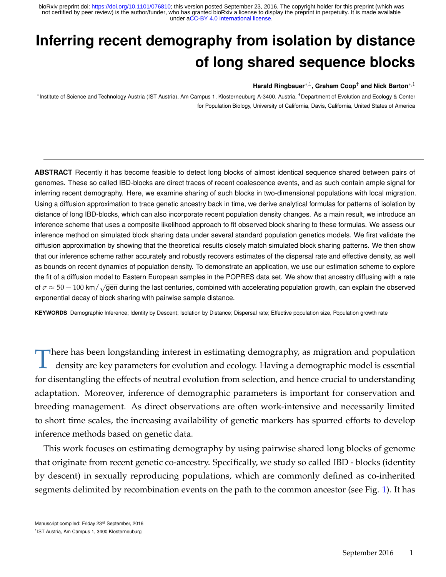# <span id="page-0-0"></span>**Inferring recent demography from isolation by distance of long shared sequence blocks**

#### **Harald Ringbauer**∗,1**, Graham Coop**† **and Nick Barton**∗,1

∗ Institute of Science and Technology Austria (IST Austria), Am Campus 1, Klosterneuburg A-3400, Austria, †Department of Evolution and Ecology & Center for Population Biology, University of California, Davis, California, United States of America

**ABSTRACT** Recently it has become feasible to detect long blocks of almost identical sequence shared between pairs of genomes. These so called IBD-blocks are direct traces of recent coalescence events, and as such contain ample signal for inferring recent demography. Here, we examine sharing of such blocks in two-dimensional populations with local migration. Using a diffusion approximation to trace genetic ancestry back in time, we derive analytical formulas for patterns of isolation by distance of long IBD-blocks, which can also incorporate recent population density changes. As a main result, we introduce an inference scheme that uses a composite likelihood approach to fit observed block sharing to these formulas. We assess our inference method on simulated block sharing data under several standard population genetics models. We first validate the diffusion approximation by showing that the theoretical results closely match simulated block sharing patterns. We then show that our inference scheme rather accurately and robustly recovers estimates of the dispersal rate and effective density, as well as bounds on recent dynamics of population density. To demonstrate an application, we use our estimation scheme to explore the fit of a diffusion model to Eastern European samples in the POPRES data set. We show that ancestry diffusing with a rate of  $\sigma \approx 50 - 100$  km/ $\sqrt{gen}$  during the last centuries, combined with accelerating population growth, can explain the observed exponential decay of block sharing with pairwise sample distance.

**KEYWORDS** Demographic Inference; Identity by Descent; Isolation by Distance; Dispersal rate; Effective population size, Population growth rate

T here has been longstanding interest in estimating demography, as migration and population density are key parameters for evolution and ecology. Having a demographic model is essential for disentangling the effects of neutral evolution from selection, and hence crucial to understanding adaptation. Moreover, inference of demographic parameters is important for conservation and breeding management. As direct observations are often work-intensive and necessarily limited to short time scales, the increasing availability of genetic markers has spurred efforts to develop inference methods based on genetic data.

This work focuses on estimating demography by using pairwise shared long blocks of genome that originate from recent genetic co-ancestry. Specifically, we study so called IBD - blocks (identity by descent) in sexually reproducing populations, which are commonly defined as co-inherited segments delimited by recombination events on the path to the common ancestor (see Fig. [1\)](#page-1-0). It has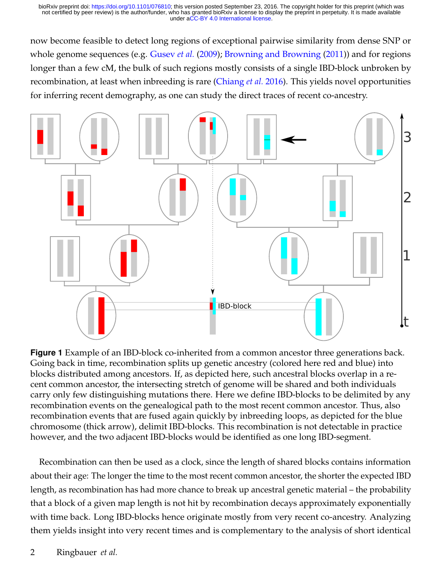now become feasible to detect long regions of exceptional pairwise similarity from dense SNP or whole genome sequences (e.g. [Gusev](#page-28-0) *et al.* [\(2009\)](#page-28-0); [Browning and Browning](#page-28-1) [\(2011\)](#page-28-1)) and for regions longer than a few cM, the bulk of such regions mostly consists of a single IBD-block unbroken by recombination, at least when inbreeding is rare [\(Chiang](#page-28-2) *et al.* [2016\)](#page-28-2). This yields novel opportunities for inferring recent demography, as one can study the direct traces of recent co-ancestry.

<span id="page-1-0"></span>

**Figure 1** Example of an IBD-block co-inherited from a common ancestor three generations back. Going back in time, recombination splits up genetic ancestry (colored here red and blue) into blocks distributed among ancestors. If, as depicted here, such ancestral blocks overlap in a recent common ancestor, the intersecting stretch of genome will be shared and both individuals carry only few distinguishing mutations there. Here we define IBD-blocks to be delimited by any recombination events on the genealogical path to the most recent common ancestor. Thus, also recombination events that are fused again quickly by inbreeding loops, as depicted for the blue chromosome (thick arrow), delimit IBD-blocks. This recombination is not detectable in practice however, and the two adjacent IBD-blocks would be identified as one long IBD-segment.

Recombination can then be used as a clock, since the length of shared blocks contains information about their age: The longer the time to the most recent common ancestor, the shorter the expected IBD length, as recombination has had more chance to break up ancestral genetic material – the probability that a block of a given map length is not hit by recombination decays approximately exponentially with time back. Long IBD-blocks hence originate mostly from very recent co-ancestry. Analyzing them yields insight into very recent times and is complementary to the analysis of short identical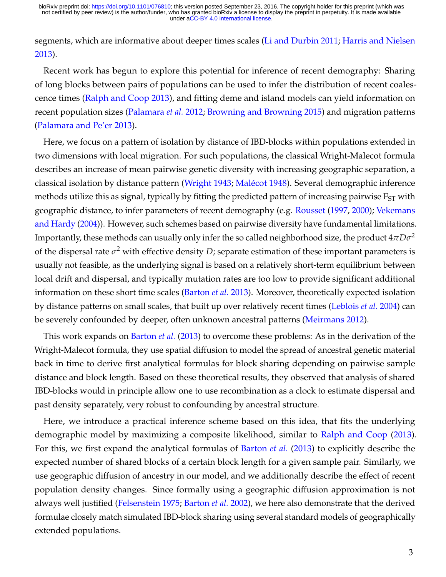segments, which are informative about deeper times scales [\(Li and Durbin 2011;](#page-29-0) [Harris and Nielsen](#page-28-3) [2013\)](#page-28-3).

Recent work has begun to explore this potential for inference of recent demography: Sharing of long blocks between pairs of populations can be used to infer the distribution of recent coalescence times [\(Ralph and Coop 2013\)](#page-29-1), and fitting deme and island models can yield information on recent population sizes [\(Palamara](#page-29-2) *et al.* [2012;](#page-29-2) [Browning and Browning 2015\)](#page-28-4) and migration patterns [\(Palamara and Pe'er 2013\)](#page-29-3).

Here, we focus on a pattern of isolation by distance of IBD-blocks within populations extended in two dimensions with local migration. For such populations, the classical Wright-Malecot formula describes an increase of mean pairwise genetic diversity with increasing geographic separation, a classical isolation by distance pattern [\(Wright 1943;](#page-30-0) [Malécot 1948\)](#page-29-4). Several demographic inference methods utilize this as signal, typically by fitting the predicted pattern of increasing pairwise  $F_{ST}$  with geographic distance, to infer parameters of recent demography (e.g. [Rousset](#page-29-5) [\(1997,](#page-29-5) [2000\)](#page-29-6); [Vekemans](#page-30-1) [and Hardy](#page-30-1) [\(2004\)](#page-30-1)). However, such schemes based on pairwise diversity have fundamental limitations. Importantly, these methods can usually only infer the so called neighborhood size, the product  $4\pi D\sigma^2$ of the dispersal rate  $\sigma^2$  with effective density  $D$ ; separate estimation of these important parameters is usually not feasible, as the underlying signal is based on a relatively short-term equilibrium between local drift and dispersal, and typically mutation rates are too low to provide significant additional information on these short time scales [\(Barton](#page-27-0) *et al.* [2013\)](#page-27-0). Moreover, theoretically expected isolation by distance patterns on small scales, that built up over relatively recent times [\(Leblois](#page-29-7) *et al.* [2004\)](#page-29-7) can be severely confounded by deeper, often unknown ancestral patterns [\(Meirmans 2012\)](#page-29-8).

This work expands on [Barton](#page-27-0) *et al.* [\(2013\)](#page-27-0) to overcome these problems: As in the derivation of the Wright-Malecot formula, they use spatial diffusion to model the spread of ancestral genetic material back in time to derive first analytical formulas for block sharing depending on pairwise sample distance and block length. Based on these theoretical results, they observed that analysis of shared IBD-blocks would in principle allow one to use recombination as a clock to estimate dispersal and past density separately, very robust to confounding by ancestral structure.

Here, we introduce a practical inference scheme based on this idea, that fits the underlying demographic model by maximizing a composite likelihood, similar to [Ralph and Coop](#page-29-1) [\(2013\)](#page-29-1). For this, we first expand the analytical formulas of [Barton](#page-27-0) *et al.* [\(2013\)](#page-27-0) to explicitly describe the expected number of shared blocks of a certain block length for a given sample pair. Similarly, we use geographic diffusion of ancestry in our model, and we additionally describe the effect of recent population density changes. Since formally using a geographic diffusion approximation is not always well justified [\(Felsenstein 1975;](#page-28-5) [Barton](#page-28-6) *et al.* [2002\)](#page-28-6), we here also demonstrate that the derived formulae closely match simulated IBD-block sharing using several standard models of geographically extended populations.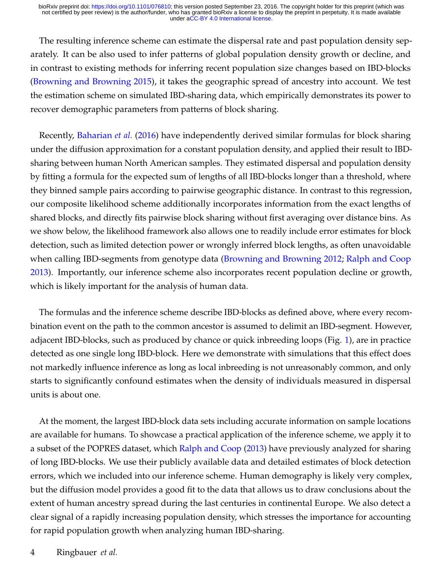The resulting inference scheme can estimate the dispersal rate and past population density separately. It can be also used to infer patterns of global population density growth or decline, and in contrast to existing methods for inferring recent population size changes based on IBD-blocks [\(Browning and Browning 2015\)](#page-28-4), it takes the geographic spread of ancestry into account. We test the estimation scheme on simulated IBD-sharing data, which empirically demonstrates its power to recover demographic parameters from patterns of block sharing.

Recently, [Baharian](#page-27-1) *et al.* [\(2016\)](#page-27-1) have independently derived similar formulas for block sharing under the diffusion approximation for a constant population density, and applied their result to IBDsharing between human North American samples. They estimated dispersal and population density by fitting a formula for the expected sum of lengths of all IBD-blocks longer than a threshold, where they binned sample pairs according to pairwise geographic distance. In contrast to this regression, our composite likelihood scheme additionally incorporates information from the exact lengths of shared blocks, and directly fits pairwise block sharing without first averaging over distance bins. As we show below, the likelihood framework also allows one to readily include error estimates for block detection, such as limited detection power or wrongly inferred block lengths, as often unavoidable when calling IBD-segments from genotype data [\(Browning and Browning 2012;](#page-28-7) [Ralph and Coop](#page-29-1) [2013\)](#page-29-1). Importantly, our inference scheme also incorporates recent population decline or growth, which is likely important for the analysis of human data.

The formulas and the inference scheme describe IBD-blocks as defined above, where every recombination event on the path to the common ancestor is assumed to delimit an IBD-segment. However, adjacent IBD-blocks, such as produced by chance or quick inbreeding loops (Fig. [1\)](#page-1-0), are in practice detected as one single long IBD-block. Here we demonstrate with simulations that this effect does not markedly influence inference as long as local inbreeding is not unreasonably common, and only starts to significantly confound estimates when the density of individuals measured in dispersal units is about one.

At the moment, the largest IBD-block data sets including accurate information on sample locations are available for humans. To showcase a practical application of the inference scheme, we apply it to a subset of the POPRES dataset, which [Ralph and Coop](#page-29-1) [\(2013\)](#page-29-1) have previously analyzed for sharing of long IBD-blocks. We use their publicly available data and detailed estimates of block detection errors, which we included into our inference scheme. Human demography is likely very complex, but the diffusion model provides a good fit to the data that allows us to draw conclusions about the extent of human ancestry spread during the last centuries in continental Europe. We also detect a clear signal of a rapidly increasing population density, which stresses the importance for accounting for rapid population growth when analyzing human IBD-sharing.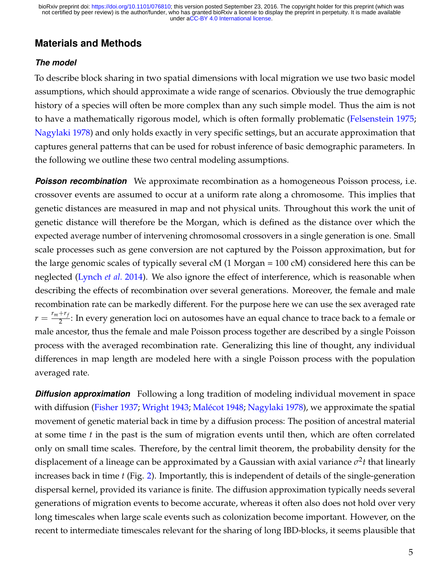## **Materials and Methods**

#### *The model*

To describe block sharing in two spatial dimensions with local migration we use two basic model assumptions, which should approximate a wide range of scenarios. Obviously the true demographic history of a species will often be more complex than any such simple model. Thus the aim is not to have a mathematically rigorous model, which is often formally problematic [\(Felsenstein 1975;](#page-28-5) [Nagylaki 1978\)](#page-29-9) and only holds exactly in very specific settings, but an accurate approximation that captures general patterns that can be used for robust inference of basic demographic parameters. In the following we outline these two central modeling assumptions.

**Poisson recombination** We approximate recombination as a homogeneous Poisson process, i.e. crossover events are assumed to occur at a uniform rate along a chromosome. This implies that genetic distances are measured in map and not physical units. Throughout this work the unit of genetic distance will therefore be the Morgan, which is defined as the distance over which the expected average number of intervening chromosomal crossovers in a single generation is one. Small scale processes such as gene conversion are not captured by the Poisson approximation, but for the large genomic scales of typically several cM (1 Morgan = 100 cM) considered here this can be neglected [\(Lynch](#page-29-10) *et al.* [2014\)](#page-29-10). We also ignore the effect of interference, which is reasonable when describing the effects of recombination over several generations. Moreover, the female and male recombination rate can be markedly different. For the purpose here we can use the sex averaged rate  $r = \frac{r_m + r_f}{2}$  $\frac{1}{2}$ : In every generation loci on autosomes have an equal chance to trace back to a female or male ancestor, thus the female and male Poisson process together are described by a single Poisson process with the averaged recombination rate. Generalizing this line of thought, any individual differences in map length are modeled here with a single Poisson process with the population averaged rate.

**Diffusion approximation** Following a long tradition of modeling individual movement in space with diffusion [\(Fisher 1937;](#page-28-8) [Wright 1943;](#page-30-0) [Malécot 1948;](#page-29-4) [Nagylaki 1978\)](#page-29-9), we approximate the spatial movement of genetic material back in time by a diffusion process: The position of ancestral material at some time *t* in the past is the sum of migration events until then, which are often correlated only on small time scales. Therefore, by the central limit theorem, the probability density for the displacement of a lineage can be approximated by a Gaussian with axial variance *σ* 2 *t* that linearly increases back in time *t* (Fig. [2\)](#page-6-0). Importantly, this is independent of details of the single-generation dispersal kernel, provided its variance is finite. The diffusion approximation typically needs several generations of migration events to become accurate, whereas it often also does not hold over very long timescales when large scale events such as colonization become important. However, on the recent to intermediate timescales relevant for the sharing of long IBD-blocks, it seems plausible that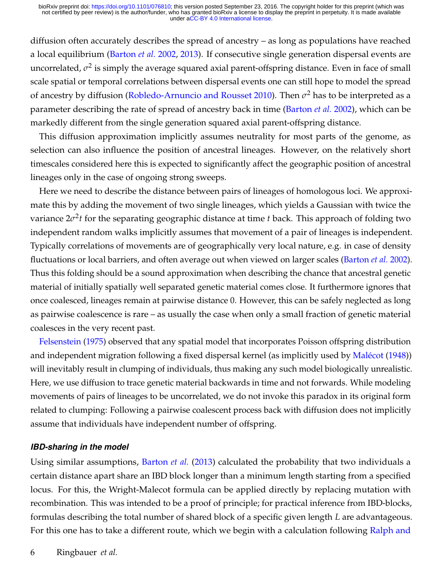diffusion often accurately describes the spread of ancestry – as long as populations have reached a local equilibrium [\(Barton](#page-28-6) *et al.* [2002,](#page-28-6) [2013\)](#page-27-0). If consecutive single generation dispersal events are uncorrelated*,*  $\sigma^2$  is simply the average squared axial parent-offspring distance. Even in face of small scale spatial or temporal correlations between dispersal events one can still hope to model the spread of ancestry by diffusion [\(Robledo-Arnuncio and Rousset 2010\)](#page-29-11). Then *σ* <sup>2</sup> has to be interpreted as a parameter describing the rate of spread of ancestry back in time [\(Barton](#page-28-6) *et al.* [2002\)](#page-28-6), which can be markedly different from the single generation squared axial parent-offspring distance.

This diffusion approximation implicitly assumes neutrality for most parts of the genome, as selection can also influence the position of ancestral lineages. However, on the relatively short timescales considered here this is expected to significantly affect the geographic position of ancestral lineages only in the case of ongoing strong sweeps.

Here we need to describe the distance between pairs of lineages of homologous loci. We approximate this by adding the movement of two single lineages, which yields a Gaussian with twice the variance 2*σ* 2 *t* for the separating geographic distance at time *t* back. This approach of folding two independent random walks implicitly assumes that movement of a pair of lineages is independent. Typically correlations of movements are of geographically very local nature, e.g. in case of density fluctuations or local barriers, and often average out when viewed on larger scales [\(Barton](#page-28-6) *et al.* [2002\)](#page-28-6). Thus this folding should be a sound approximation when describing the chance that ancestral genetic material of initially spatially well separated genetic material comes close. It furthermore ignores that once coalesced, lineages remain at pairwise distance 0. However, this can be safely neglected as long as pairwise coalescence is rare – as usually the case when only a small fraction of genetic material coalesces in the very recent past.

[Felsenstein](#page-28-5) [\(1975\)](#page-28-5) observed that any spatial model that incorporates Poisson offspring distribution and independent migration following a fixed dispersal kernel (as implicitly used by [Malécot](#page-29-4) [\(1948\)](#page-29-4)) will inevitably result in clumping of individuals, thus making any such model biologically unrealistic. Here, we use diffusion to trace genetic material backwards in time and not forwards. While modeling movements of pairs of lineages to be uncorrelated, we do not invoke this paradox in its original form related to clumping: Following a pairwise coalescent process back with diffusion does not implicitly assume that individuals have independent number of offspring.

#### *IBD-sharing in the model*

Using similar assumptions, [Barton](#page-27-0) *et al.* [\(2013\)](#page-27-0) calculated the probability that two individuals a certain distance apart share an IBD block longer than a minimum length starting from a specified locus. For this, the Wright-Malecot formula can be applied directly by replacing mutation with recombination. This was intended to be a proof of principle; for practical inference from IBD-blocks, formulas describing the total number of shared block of a specific given length *L* are advantageous. For this one has to take a different route, which we begin with a calculation following [Ralph and](#page-29-1)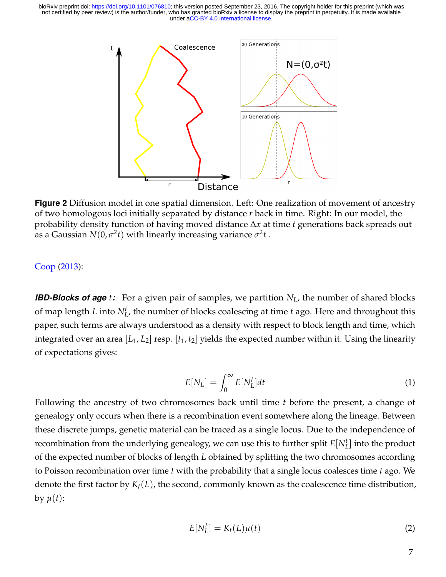<span id="page-6-0"></span>

**Figure 2** Diffusion model in one spatial dimension. Left: One realization of movement of ancestry of two homologous loci initially separated by distance *r* back in time. Right: In our model, the probability density function of having moved distance ∆*x* at time *t* generations back spreads out as a Gaussian  $N(0,\sigma^2t)$  with linearly increasing variance  $\sigma^2t$  .

#### [Coop](#page-29-1) [\(2013\)](#page-29-1):

*IBD-Blocks of age t:* For a given pair of samples, we partition *NL*, the number of shared blocks of map length *L* into *N<sup>t</sup> L* , the number of blocks coalescing at time *t* ago. Here and throughout this paper, such terms are always understood as a density with respect to block length and time, which integrated over an area [*L*1, *L*2] resp. [*t*1, *t*2] yields the expected number within it. Using the linearity of expectations gives:

<span id="page-6-2"></span>
$$
E[N_L] = \int_0^\infty E[N_L^t]dt
$$
 (1)

Following the ancestry of two chromosomes back until time *t* before the present, a change of genealogy only occurs when there is a recombination event somewhere along the lineage. Between these discrete jumps, genetic material can be traced as a single locus. Due to the independence of recombination from the underlying genealogy, we can use this to further split  $E[N_L^t]$  into the product of the expected number of blocks of length *L* obtained by splitting the two chromosomes according to Poisson recombination over time *t* with the probability that a single locus coalesces time *t* ago. We denote the first factor by  $K_t(L)$ , the second, commonly known as the coalescence time distribution, by  $\mu(t)$ :

<span id="page-6-1"></span>
$$
E[N_L^t] = K_t(L)\mu(t)
$$
\n(2)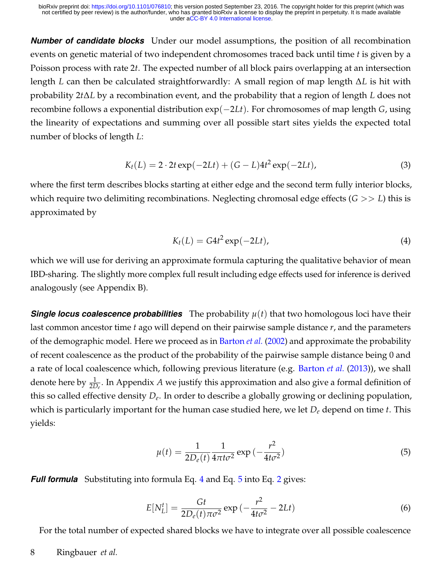*Number of candidate blocks* Under our model assumptions, the position of all recombination events on genetic material of two independent chromosomes traced back until time *t* is given by a Poisson process with rate 2*t*. The expected number of all block pairs overlapping at an intersection length *L* can then be calculated straightforwardly: A small region of map length ∆*L* is hit with probability 2*t*∆*L* by a recombination event, and the probability that a region of length *L* does not recombine follows a exponential distribution exp(−2*Lt*). For chromosomes of map length *G*, using the linearity of expectations and summing over all possible start sites yields the expected total number of blocks of length *L*:

<span id="page-7-2"></span>
$$
K_t(L) = 2 \cdot 2t \exp(-2Lt) + (G - L)4t^2 \exp(-2Lt),
$$
\n(3)

where the first term describes blocks starting at either edge and the second term fully interior blocks, which require two delimiting recombinations. Neglecting chromosal edge effects (*G* >> *L*) this is approximated by

<span id="page-7-0"></span>
$$
K_t(L) = G4t^2 \exp(-2Lt), \qquad (4)
$$

which we will use for deriving an approximate formula capturing the qualitative behavior of mean IBD-sharing. The slightly more complex full result including edge effects used for inference is derived analogously (see Appendix B).

**Single locus coalescence probabilities** The probability  $\mu(t)$  that two homologous loci have their last common ancestor time *t* ago will depend on their pairwise sample distance *r*, and the parameters of the demographic model. Here we proceed as in [Barton](#page-28-6) *et al.* [\(2002\)](#page-28-6) and approximate the probability of recent coalescence as the product of the probability of the pairwise sample distance being 0 and a rate of local coalescence which, following previous literature (e.g. [Barton](#page-27-0) *et al.* [\(2013\)](#page-27-0)), we shall denote here by <sup>1</sup> 2*De* . In Appendix *A* we justify this approximation and also give a formal definition of this so called effective density *D<sup>e</sup>* . In order to describe a globally growing or declining population, which is particularly important for the human case studied here, we let *D<sup>e</sup>* depend on time *t*. This yields:

<span id="page-7-1"></span>
$$
\mu(t) = \frac{1}{2D_e(t)} \frac{1}{4\pi t \sigma^2} \exp\left(-\frac{r^2}{4t \sigma^2}\right)
$$
\n(5)

*Full formula* Substituting into formula Eq. [4](#page-7-0) and Eq. [5](#page-7-1) into Eq. [2](#page-6-1) gives:

$$
E[N_L^t] = \frac{Gt}{2D_e(t)\pi\sigma^2} \exp\left(-\frac{r^2}{4t\sigma^2} - 2Lt\right)
$$
\n<sup>(6)</sup>

For the total number of expected shared blocks we have to integrate over all possible coalescence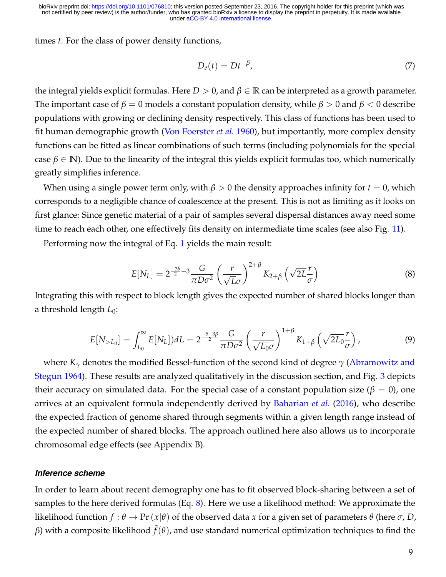times *t*. For the class of power density functions,

<span id="page-8-2"></span>
$$
D_e(t) = Dt^{-\beta},\tag{7}
$$

the integral yields explicit formulas. Here  $D > 0$ , and  $\beta \in \mathbb{R}$  can be interpreted as a growth parameter. The important case of  $\beta = 0$  models a constant population density, while  $\beta > 0$  and  $\beta < 0$  describe populations with growing or declining density respectively. This class of functions has been used to fit human demographic growth [\(Von Foerster](#page-30-2) *et al.* [1960\)](#page-30-2), but importantly, more complex density functions can be fitted as linear combinations of such terms (including polynomials for the special case  $\beta \in \mathbb{N}$ ). Due to the linearity of the integral this yields explicit formulas too, which numerically greatly simplifies inference.

When using a single power term only, with  $\beta > 0$  the density approaches infinity for  $t = 0$ , which corresponds to a negligible chance of coalescence at the present. This is not as limiting as it looks on first glance: Since genetic material of a pair of samples several dispersal distances away need some time to reach each other, one effectively fits density on intermediate time scales (see also Fig. [11\)](#page-25-0).

Performing now the integral of Eq. [1](#page-6-2) yields the main result:

<span id="page-8-0"></span>
$$
E[N_L] = 2^{\frac{-3b}{2} - 3} \frac{G}{\pi D \sigma^2} \left(\frac{r}{\sqrt{L}\sigma}\right)^{2+\beta} K_{2+\beta} \left(\sqrt{2L}\frac{r}{\sigma}\right)
$$
(8)

Integrating this with respect to block length gives the expected number of shared blocks longer than a threshold length *L*<sub>0</sub>:

<span id="page-8-1"></span>
$$
E[N_{>L_0}] = \int_{L_0}^{\infty} E[N_L]) dL = 2^{\frac{-5-3\beta}{2}} \frac{G}{\pi D \sigma^2} \left(\frac{r}{\sqrt{L_0} \sigma}\right)^{1+\beta} K_{1+\beta} \left(\sqrt{2L_0} \frac{r}{\sigma}\right),
$$
(9)

where *K<sup>γ</sup>* denotes the modified Bessel-function of the second kind of degree *γ* [\(Abramowitz and](#page-27-2) [Stegun 1964\)](#page-27-2). These results are analyzed qualitatively in the discussion section, and Fig. [3](#page-9-0) depicts their accuracy on simulated data. For the special case of a constant population size ( $\beta = 0$ ), one arrives at an equivalent formula independently derived by [Baharian](#page-27-1) *et al.* [\(2016\)](#page-27-1), who describe the expected fraction of genome shared through segments within a given length range instead of the expected number of shared blocks. The approach outlined here also allows us to incorporate chromosomal edge effects (see Appendix B).

#### *Inference scheme*

In order to learn about recent demography one has to fit observed block-sharing between a set of samples to the here derived formulas (Eq. [8\)](#page-8-0). Here we use a likelihood method: We approximate the likelihood function  $f : \theta \to Pr(x|\theta)$  of the observed data x for a given set of parameters  $\theta$  (here  $\sigma$ , *D*,  $\beta$ ) with a composite likelihood  $\tilde{f}(\theta)$ , and use standard numerical optimization techniques to find the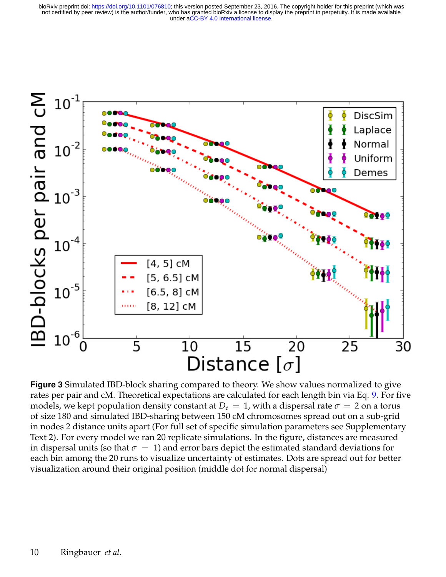<span id="page-9-0"></span>

**Figure 3** Simulated IBD-block sharing compared to theory. We show values normalized to give rates per pair and cM. Theoretical expectations are calculated for each length bin via Eq. [9.](#page-8-1) For five models, we kept population density constant at  $D_e = 1$ , with a dispersal rate  $\sigma = 2$  on a torus of size 180 and simulated IBD-sharing between 150 cM chromosomes spread out on a sub-grid in nodes 2 distance units apart (For full set of specific simulation parameters see Supplementary Text 2). For every model we ran 20 replicate simulations. In the figure, distances are measured in dispersal units (so that  $\sigma = 1$ ) and error bars depict the estimated standard deviations for each bin among the 20 runs to visualize uncertainty of estimates. Dots are spread out for better visualization around their original position (middle dot for normal dispersal)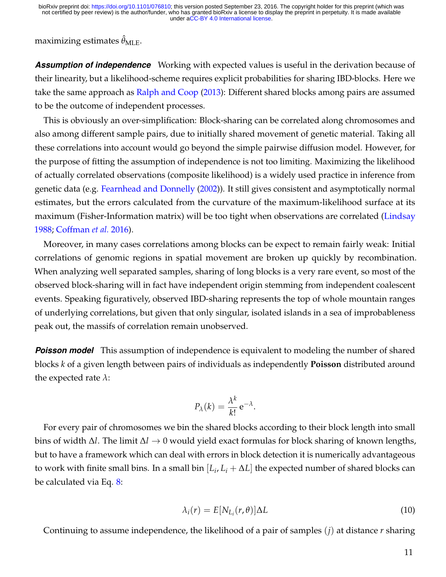maximizing estimates  $\hat{\theta}_{MLE}$ .

*Assumption of independence* Working with expected values is useful in the derivation because of their linearity, but a likelihood-scheme requires explicit probabilities for sharing IBD-blocks. Here we take the same approach as [Ralph and Coop](#page-29-1) [\(2013\)](#page-29-1): Different shared blocks among pairs are assumed to be the outcome of independent processes.

This is obviously an over-simplification: Block-sharing can be correlated along chromosomes and also among different sample pairs, due to initially shared movement of genetic material. Taking all these correlations into account would go beyond the simple pairwise diffusion model. However, for the purpose of fitting the assumption of independence is not too limiting. Maximizing the likelihood of actually correlated observations (composite likelihood) is a widely used practice in inference from genetic data (e.g. [Fearnhead and Donnelly](#page-28-9) [\(2002\)](#page-28-9)). It still gives consistent and asymptotically normal estimates, but the errors calculated from the curvature of the maximum-likelihood surface at its maximum (Fisher-Information matrix) will be too tight when observations are correlated [\(Lindsay](#page-29-12) [1988;](#page-29-12) [Coffman](#page-28-10) *et al.* [2016\)](#page-28-10).

Moreover, in many cases correlations among blocks can be expect to remain fairly weak: Initial correlations of genomic regions in spatial movement are broken up quickly by recombination. When analyzing well separated samples, sharing of long blocks is a very rare event, so most of the observed block-sharing will in fact have independent origin stemming from independent coalescent events. Speaking figuratively, observed IBD-sharing represents the top of whole mountain ranges of underlying correlations, but given that only singular, isolated islands in a sea of improbableness peak out, the massifs of correlation remain unobserved.

**Poisson model** This assumption of independence is equivalent to modeling the number of shared blocks *k* of a given length between pairs of individuals as independently **Poisson** distributed around the expected rate *λ*:

$$
P_{\lambda}(k) = \frac{\lambda^k}{k!} e^{-\lambda}.
$$

For every pair of chromosomes we bin the shared blocks according to their block length into small bins of width ∆*l*. The limit ∆*l* → 0 would yield exact formulas for block sharing of known lengths, but to have a framework which can deal with errors in block detection it is numerically advantageous to work with finite small bins. In a small bin  $[L_i, L_i + \Delta L]$  the expected number of shared blocks can be calculated via Eq. [8:](#page-8-0)

$$
\lambda_i(r) = E[N_{L_i}(r,\theta)]\Delta L \tag{10}
$$

Continuing to assume independence, the likelihood of a pair of samples (*j*) at distance *r* sharing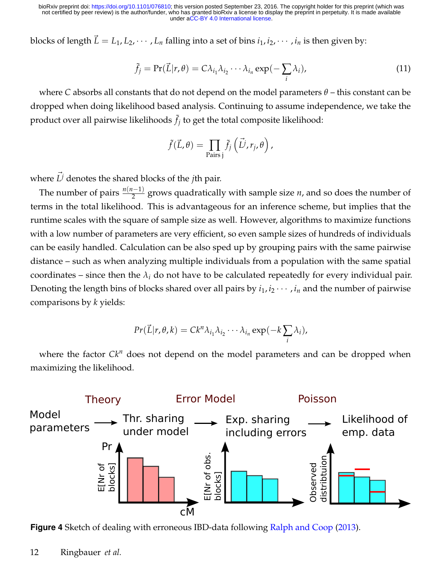blocks of length  $\vec{L} = L_1, L_2, \cdots, L_n$  falling into a set of bins  $i_1, i_2, \cdots, i_n$  is then given by:

$$
\tilde{f}_j = \Pr(\vec{L}|r,\theta) = C\lambda_{i_1}\lambda_{i_2}\cdots\lambda_{i_n} \exp(-\sum_i \lambda_i), \tag{11}
$$

where *C* absorbs all constants that do not depend on the model parameters *θ* – this constant can be dropped when doing likelihood based analysis. Continuing to assume independence, we take the product over all pairwise likelihoods  $\tilde{f}_j$  to get the total composite likelihood:

$$
\tilde{f}(\vec{L},\theta) = \prod_{\text{Pairs }j} \tilde{f}_j\left(\vec{L}^j,r_j,\theta\right),\,
$$

where  $\vec{L^j}$  denotes the shared blocks of the *j*th pair.

The number of pairs  $\frac{n(n-1)}{2}$  grows quadratically with sample size *n*, and so does the number of terms in the total likelihood. This is advantageous for an inference scheme, but implies that the runtime scales with the square of sample size as well. However, algorithms to maximize functions with a low number of parameters are very efficient, so even sample sizes of hundreds of individuals can be easily handled. Calculation can be also sped up by grouping pairs with the same pairwise distance – such as when analyzing multiple individuals from a population with the same spatial coordinates – since then the  $\lambda_i$  do not have to be calculated repeatedly for every individual pair. Denoting the length bins of blocks shared over all pairs by  $i_1$ ,  $i_2$   $\cdots$  ,  $i_n$  and the number of pairwise comparisons by *k* yields:

$$
Pr(\vec{L}|r,\theta,k) = Ck^n \lambda_{i_1} \lambda_{i_2} \cdots \lambda_{i_n} \exp(-k \sum_i \lambda_i),
$$

where the factor  $Ck^n$  does not depend on the model parameters and can be dropped when maximizing the likelihood.

<span id="page-11-0"></span>

**Figure 4** Sketch of dealing with erroneous IBD-data following [Ralph and Coop](#page-29-1) [\(2013\)](#page-29-1).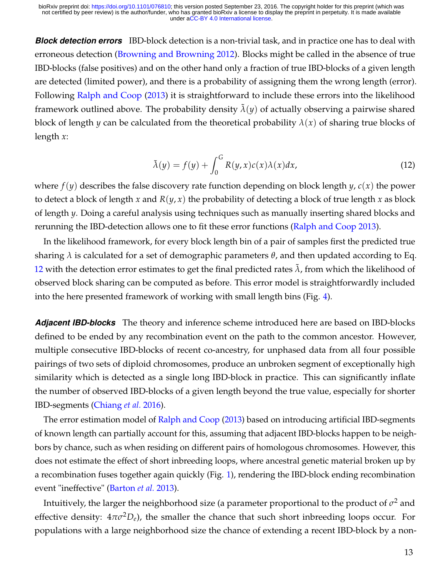*Block detection errors* IBD-block detection is a non-trivial task, and in practice one has to deal with erroneous detection [\(Browning and Browning 2012\)](#page-28-7). Blocks might be called in the absence of true IBD-blocks (false positives) and on the other hand only a fraction of true IBD-blocks of a given length are detected (limited power), and there is a probability of assigning them the wrong length (error). Following [Ralph and Coop](#page-29-1) [\(2013\)](#page-29-1) it is straightforward to include these errors into the likelihood framework outlined above. The probability density  $\lambda(y)$  of actually observing a pairwise shared block of length *y* can be calculated from the theoretical probability  $\lambda(x)$  of sharing true blocks of length *x*:

<span id="page-12-0"></span>
$$
\tilde{\lambda}(y) = f(y) + \int_0^G R(y, x)c(x)\lambda(x)dx,
$$
\n(12)

where *f*(*y*) describes the false discovery rate function depending on block length *y*, *c*(*x*) the power to detect a block of length *x* and *R*(*y*, *x*) the probability of detecting a block of true length *x* as block of length *y*. Doing a careful analysis using techniques such as manually inserting shared blocks and rerunning the IBD-detection allows one to fit these error functions [\(Ralph and Coop 2013\)](#page-29-1).

In the likelihood framework, for every block length bin of a pair of samples first the predicted true sharing *λ* is calculated for a set of demographic parameters *θ*, and then updated according to Eq. [12](#page-12-0) with the detection error estimates to get the final predicted rates  $\lambda$ , from which the likelihood of observed block sharing can be computed as before. This error model is straightforwardly included into the here presented framework of working with small length bins (Fig. [4\)](#page-11-0).

*Adjacent IBD-blocks* The theory and inference scheme introduced here are based on IBD-blocks defined to be ended by any recombination event on the path to the common ancestor. However, multiple consecutive IBD-blocks of recent co-ancestry, for unphased data from all four possible pairings of two sets of diploid chromosomes, produce an unbroken segment of exceptionally high similarity which is detected as a single long IBD-block in practice. This can significantly inflate the number of observed IBD-blocks of a given length beyond the true value, especially for shorter IBD-segments [\(Chiang](#page-28-2) *et al.* [2016\)](#page-28-2).

The error estimation model of [Ralph and Coop](#page-29-1) [\(2013\)](#page-29-1) based on introducing artificial IBD-segments of known length can partially account for this, assuming that adjacent IBD-blocks happen to be neighbors by chance, such as when residing on different pairs of homologous chromosomes. However, this does not estimate the effect of short inbreeding loops, where ancestral genetic material broken up by a recombination fuses together again quickly (Fig. [1\)](#page-1-0), rendering the IBD-block ending recombination event "ineffective" [\(Barton](#page-27-0) *et al.* [2013\)](#page-27-0).

Intuitively, the larger the neighborhood size (a parameter proportional to the product of  $\sigma^2$  and effective density:  $4\pi\sigma^2D_e$ , the smaller the chance that such short inbreeding loops occur. For populations with a large neighborhood size the chance of extending a recent IBD-block by a non-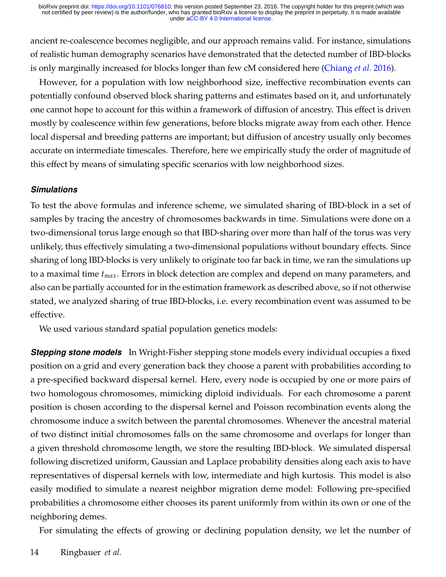ancient re-coalescence becomes negligible, and our approach remains valid. For instance, simulations of realistic human demography scenarios have demonstrated that the detected number of IBD-blocks is only marginally increased for blocks longer than few cM considered here [\(Chiang](#page-28-2) *et al.* [2016\)](#page-28-2).

However, for a population with low neighborhood size, ineffective recombination events can potentially confound observed block sharing patterns and estimates based on it, and unfortunately one cannot hope to account for this within a framework of diffusion of ancestry. This effect is driven mostly by coalescence within few generations, before blocks migrate away from each other. Hence local dispersal and breeding patterns are important; but diffusion of ancestry usually only becomes accurate on intermediate timescales. Therefore, here we empirically study the order of magnitude of this effect by means of simulating specific scenarios with low neighborhood sizes.

#### *Simulations*

To test the above formulas and inference scheme, we simulated sharing of IBD-block in a set of samples by tracing the ancestry of chromosomes backwards in time. Simulations were done on a two-dimensional torus large enough so that IBD-sharing over more than half of the torus was very unlikely, thus effectively simulating a two-dimensional populations without boundary effects. Since sharing of long IBD-blocks is very unlikely to originate too far back in time, we ran the simulations up to a maximal time *tmax*. Errors in block detection are complex and depend on many parameters, and also can be partially accounted for in the estimation framework as described above, so if not otherwise stated, we analyzed sharing of true IBD-blocks, i.e. every recombination event was assumed to be effective.

We used various standard spatial population genetics models:

**Stepping stone models** In Wright-Fisher stepping stone models every individual occupies a fixed position on a grid and every generation back they choose a parent with probabilities according to a pre-specified backward dispersal kernel. Here, every node is occupied by one or more pairs of two homologous chromosomes, mimicking diploid individuals. For each chromosome a parent position is chosen according to the dispersal kernel and Poisson recombination events along the chromosome induce a switch between the parental chromosomes. Whenever the ancestral material of two distinct initial chromosomes falls on the same chromosome and overlaps for longer than a given threshold chromosome length, we store the resulting IBD-block. We simulated dispersal following discretized uniform, Gaussian and Laplace probability densities along each axis to have representatives of dispersal kernels with low, intermediate and high kurtosis. This model is also easily modified to simulate a nearest neighbor migration deme model: Following pre-specified probabilities a chromosome either chooses its parent uniformly from within its own or one of the neighboring demes.

For simulating the effects of growing or declining population density, we let the number of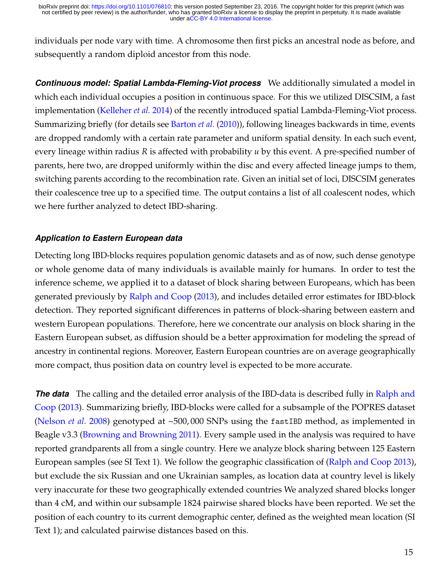individuals per node vary with time. A chromosome then first picks an ancestral node as before, and subsequently a random diploid ancestor from this node.

*Continuous model: Spatial Lambda-Fleming-Viot process* We additionally simulated a model in which each individual occupies a position in continuous space. For this we utilized DISCSIM, a fast implementation [\(Kelleher](#page-28-11) *et al.* [2014\)](#page-28-11) of the recently introduced spatial Lambda-Fleming-Viot process. Summarizing briefly (for details see [Barton](#page-28-12) *et al.* [\(2010\)](#page-28-12)), following lineages backwards in time, events are dropped randomly with a certain rate parameter and uniform spatial density. In each such event, every lineage within radius *R* is affected with probability *u* by this event. A pre-specified number of parents, here two, are dropped uniformly within the disc and every affected lineage jumps to them, switching parents according to the recombination rate. Given an initial set of loci, DISCSIM generates their coalescence tree up to a specified time. The output contains a list of all coalescent nodes, which we here further analyzed to detect IBD-sharing.

## *Application to Eastern European data*

Detecting long IBD-blocks requires population genomic datasets and as of now, such dense genotype or whole genome data of many individuals is available mainly for humans. In order to test the inference scheme, we applied it to a dataset of block sharing between Europeans, which has been generated previously by [Ralph and Coop](#page-29-1) [\(2013\)](#page-29-1), and includes detailed error estimates for IBD-block detection. They reported significant differences in patterns of block-sharing between eastern and western European populations. Therefore, here we concentrate our analysis on block sharing in the Eastern European subset, as diffusion should be a better approximation for modeling the spread of ancestry in continental regions. Moreover, Eastern European countries are on average geographically more compact, thus position data on country level is expected to be more accurate.

**The data** The calling and the detailed error analysis of the IBD-data is described fully in [Ralph and](#page-29-1) [Coop](#page-29-1) [\(2013\)](#page-29-1). Summarizing briefly, IBD-blocks were called for a subsample of the POPRES dataset [\(Nelson](#page-29-13) *et al.* [2008\)](#page-29-13) genotyped at ~500, 000 SNPs using the fastIBD method, as implemented in Beagle v3.3 [\(Browning and Browning 2011\)](#page-28-1). Every sample used in the analysis was required to have reported grandparents all from a single country. Here we analyze block sharing between 125 Eastern European samples (see SI Text 1). We follow the geographic classification of [\(Ralph and Coop 2013\)](#page-29-1), but exclude the six Russian and one Ukrainian samples, as location data at country level is likely very inaccurate for these two geographically extended countries We analyzed shared blocks longer than 4 cM, and within our subsample 1824 pairwise shared blocks have been reported. We set the position of each country to its current demographic center, defined as the weighted mean location (SI Text 1); and calculated pairwise distances based on this.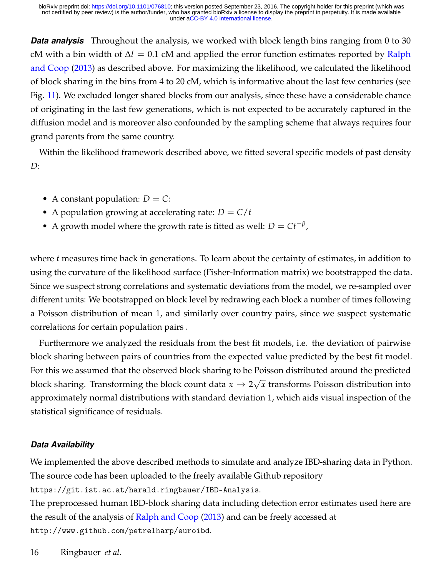**Data analysis** Throughout the analysis, we worked with block length bins ranging from 0 to 30 cM with a bin width of ∆*l* = 0.1 cM and applied the error function estimates reported by [Ralph](#page-29-1) [and Coop](#page-29-1) [\(2013\)](#page-29-1) as described above. For maximizing the likelihood, we calculated the likelihood of block sharing in the bins from 4 to 20 cM, which is informative about the last few centuries (see Fig. [11\)](#page-25-0). We excluded longer shared blocks from our analysis, since these have a considerable chance of originating in the last few generations, which is not expected to be accurately captured in the diffusion model and is moreover also confounded by the sampling scheme that always requires four grand parents from the same country.

Within the likelihood framework described above, we fitted several specific models of past density *D*:

- A constant population:  $D = C$ :
- A population growing at accelerating rate:  $D = C/t$
- A growth model where the growth rate is fitted as well:  $D = Ct^{-\beta}$ ,

where *t* measures time back in generations. To learn about the certainty of estimates, in addition to using the curvature of the likelihood surface (Fisher-Information matrix) we bootstrapped the data. Since we suspect strong correlations and systematic deviations from the model, we re-sampled over different units: We bootstrapped on block level by redrawing each block a number of times following a Poisson distribution of mean 1, and similarly over country pairs, since we suspect systematic correlations for certain population pairs .

Furthermore we analyzed the residuals from the best fit models, i.e. the deviation of pairwise block sharing between pairs of countries from the expected value predicted by the best fit model. For this we assumed that the observed block sharing to be Poisson distributed around the predicted block sharing. Transforming the block count data  $x \to 2$ √ *x* transforms Poisson distribution into approximately normal distributions with standard deviation 1, which aids visual inspection of the statistical significance of residuals.

#### *Data Availability*

We implemented the above described methods to simulate and analyze IBD-sharing data in Python. The source code has been uploaded to the freely available Github repository

https://git.ist.ac.at/harald.ringbauer/IBD-Analysis.

The preprocessed human IBD-block sharing data including detection error estimates used here are the result of the analysis of [Ralph and Coop](#page-29-1) [\(2013\)](#page-29-1) and can be freely accessed at http://www.github.com/petrelharp/euroibd.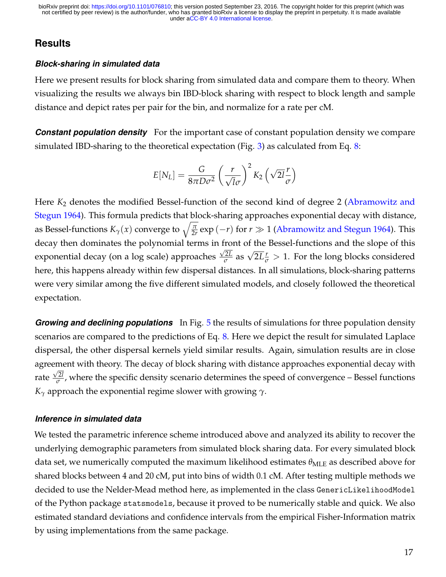## **Results**

#### *Block-sharing in simulated data*

Here we present results for block sharing from simulated data and compare them to theory. When visualizing the results we always bin IBD-block sharing with respect to block length and sample distance and depict rates per pair for the bin, and normalize for a rate per cM.

**Constant population density** For the important case of constant population density we compare simulated IBD-sharing to the theoretical expectation (Fig. [3\)](#page-9-0) as calculated from Eq. [8:](#page-8-0)

$$
E[N_L] = \frac{G}{8\pi D\sigma^2} \left(\frac{r}{\sqrt{l}\sigma}\right)^2 K_2 \left(\sqrt{2l}\frac{r}{\sigma}\right)
$$

Here *K*<sub>2</sub> denotes the modified Bessel-function of the second kind of degree 2 [\(Abramowitz and](#page-27-2) [Stegun 1964\)](#page-27-2). This formula predicts that block-sharing approaches exponential decay with distance, as Bessel-functions  $K_\gamma(x)$  converge to  $\sqrt{\frac{\pi}{2r}}\exp{(-r)}$  for  $r\gg1$  [\(Abramowitz and Stegun 1964\)](#page-27-2). This decay then dominates the polynomial terms in front of the Bessel-functions and the slope of this exponential decay (on a log scale) approaches  $\frac{\sqrt{2}L}{\sigma}$  $\frac{2L}{\sigma}$  as  $\sqrt{2L}\frac{r}{\sigma} > 1$ . For the long blocks considered here, this happens already within few dispersal distances. In all simulations, block-sharing patterns were very similar among the five different simulated models, and closely followed the theoretical expectation.

*Growing and declining populations* In Fig. [5](#page-17-0) the results of simulations for three population density scenarios are compared to the predictions of Eq. [8.](#page-8-0) Here we depict the result for simulated Laplace dispersal, the other dispersal kernels yield similar results. Again, simulation results are in close agreement with theory. The decay of block sharing with distance approaches exponential decay with √ rate  $\frac{\sqrt{2l}}{\sigma}$  $\frac{2I}{\sigma}$ , where the specific density scenario determines the speed of convergence – Bessel functions *K<sup>γ</sup>* approach the exponential regime slower with growing *γ*.

#### *Inference in simulated data*

We tested the parametric inference scheme introduced above and analyzed its ability to recover the underlying demographic parameters from simulated block sharing data. For every simulated block data set, we numerically computed the maximum likelihood estimates  $\theta_{MLE}$  as described above for shared blocks between 4 and 20 cM, put into bins of width 0.1 cM. After testing multiple methods we decided to use the Nelder-Mead method here, as implemented in the class GenericLikelihoodModel of the Python package statsmodels, because it proved to be numerically stable and quick. We also estimated standard deviations and confidence intervals from the empirical Fisher-Information matrix by using implementations from the same package.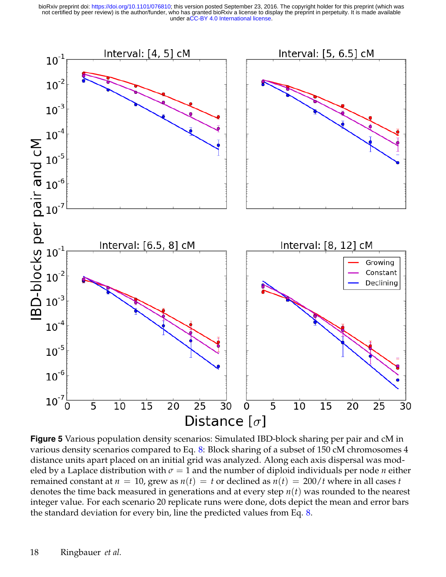under [aCC-BY 4.0 International license.](http://creativecommons.org/licenses/by/4.0/) not certified by peer review) is the author/funder, who has granted bioRxiv a license to display the preprint in perpetuity. It is made available bioRxiv preprint doi: [https://doi.org/10.1101/076810;](https://doi.org/10.1101/076810) this version posted September 23, 2016. The copyright holder for this preprint (which was

<span id="page-17-0"></span>

**Figure 5** Various population density scenarios: Simulated IBD-block sharing per pair and cM in various density scenarios compared to Eq. [8:](#page-8-0) Block sharing of a subset of 150 cM chromosomes 4 distance units apart placed on an initial grid was analyzed. Along each axis dispersal was modeled by a Laplace distribution with  $\sigma = 1$  and the number of diploid individuals per node *n* either remained constant at  $n = 10$ , grew as  $n(t) = t$  or declined as  $n(t) = 200/t$  where in all cases *t* denotes the time back measured in generations and at every step *n*(*t*) was rounded to the nearest integer value. For each scenario 20 replicate runs were done, dots depict the mean and error bars the standard deviation for every bin, line the predicted values from Eq. [8.](#page-8-0)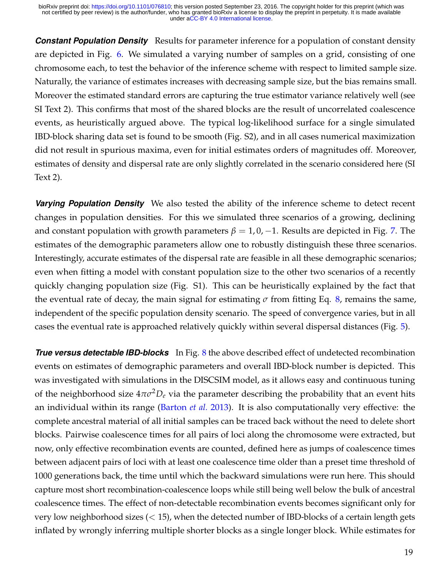**Constant Population Density** Results for parameter inference for a population of constant density are depicted in Fig. [6.](#page-19-0) We simulated a varying number of samples on a grid, consisting of one chromosome each, to test the behavior of the inference scheme with respect to limited sample size. Naturally, the variance of estimates increases with decreasing sample size, but the bias remains small. Moreover the estimated standard errors are capturing the true estimator variance relatively well (see SI Text 2). This confirms that most of the shared blocks are the result of uncorrelated coalescence events, as heuristically argued above. The typical log-likelihood surface for a single simulated IBD-block sharing data set is found to be smooth (Fig. S2), and in all cases numerical maximization did not result in spurious maxima, even for initial estimates orders of magnitudes off. Moreover, estimates of density and dispersal rate are only slightly correlated in the scenario considered here (SI Text 2).

*Varying Population Density* We also tested the ability of the inference scheme to detect recent changes in population densities. For this we simulated three scenarios of a growing, declining and constant population with growth parameters  $\beta = 1, 0, -1$ . Results are depicted in Fig. [7.](#page-20-0) The estimates of the demographic parameters allow one to robustly distinguish these three scenarios. Interestingly, accurate estimates of the dispersal rate are feasible in all these demographic scenarios; even when fitting a model with constant population size to the other two scenarios of a recently quickly changing population size (Fig. S1). This can be heuristically explained by the fact that the eventual rate of decay, the main signal for estimating  $\sigma$  from fitting Eq. [8,](#page-8-0) remains the same, independent of the specific population density scenario. The speed of convergence varies, but in all cases the eventual rate is approached relatively quickly within several dispersal distances (Fig. [5\)](#page-17-0).

*True versus detectable IBD-blocks* In Fig. [8](#page-21-0) the above described effect of undetected recombination events on estimates of demographic parameters and overall IBD-block number is depicted. This was investigated with simulations in the DISCSIM model, as it allows easy and continuous tuning of the neighborhood size  $4\pi\sigma^2D_e$  via the parameter describing the probability that an event hits an individual within its range [\(Barton](#page-27-0) *et al.* [2013\)](#page-27-0). It is also computationally very effective: the complete ancestral material of all initial samples can be traced back without the need to delete short blocks. Pairwise coalescence times for all pairs of loci along the chromosome were extracted, but now, only effective recombination events are counted, defined here as jumps of coalescence times between adjacent pairs of loci with at least one coalescence time older than a preset time threshold of 1000 generations back, the time until which the backward simulations were run here. This should capture most short recombination-coalescence loops while still being well below the bulk of ancestral coalescence times. The effect of non-detectable recombination events becomes significant only for very low neighborhood sizes  $(< 15)$ , when the detected number of IBD-blocks of a certain length gets inflated by wrongly inferring multiple shorter blocks as a single longer block. While estimates for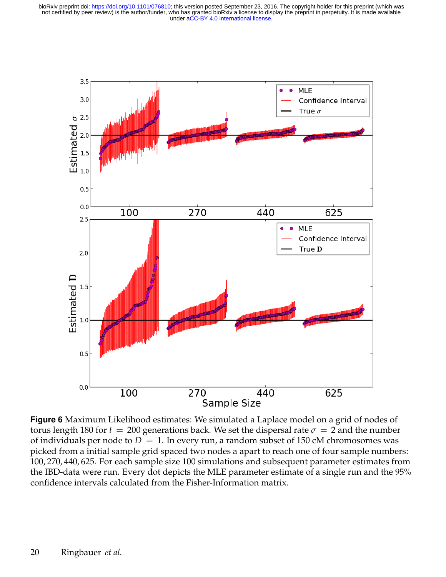<span id="page-19-0"></span>

**Figure 6** Maximum Likelihood estimates: We simulated a Laplace model on a grid of nodes of torus length 180 for  $t = 200$  generations back. We set the dispersal rate  $\sigma = 2$  and the number of individuals per node to  $D = 1$ . In every run, a random subset of 150 cM chromosomes was picked from a initial sample grid spaced two nodes a apart to reach one of four sample numbers: 100, 270, 440, 625. For each sample size 100 simulations and subsequent parameter estimates from the IBD-data were run. Every dot depicts the MLE parameter estimate of a single run and the 95% confidence intervals calculated from the Fisher-Information matrix.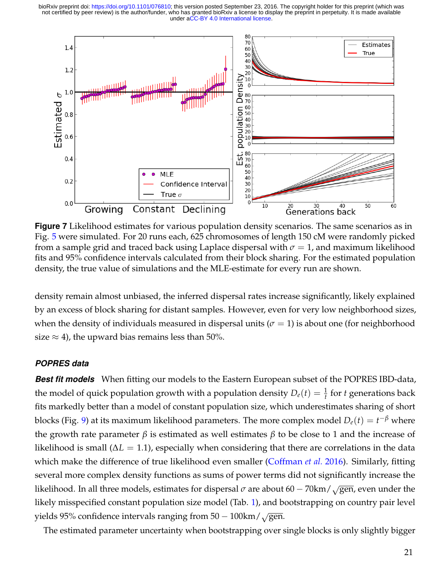<span id="page-20-0"></span>

**Figure 7** Likelihood estimates for various population density scenarios. The same scenarios as in Fig. [5](#page-17-0) were simulated. For 20 runs each, 625 chromosomes of length 150 cM were randomly picked from a sample grid and traced back using Laplace dispersal with  $\sigma = 1$ , and maximum likelihood fits and 95% confidence intervals calculated from their block sharing. For the estimated population density, the true value of simulations and the MLE-estimate for every run are shown.

density remain almost unbiased, the inferred dispersal rates increase significantly, likely explained by an excess of block sharing for distant samples. However, even for very low neighborhood sizes, when the density of individuals measured in dispersal units ( $\sigma = 1$ ) is about one (for neighborhood size  $\approx$  4), the upward bias remains less than 50%.

#### *POPRES data*

*Best fit models* When fitting our models to the Eastern European subset of the POPRES IBD-data, the model of quick population growth with a population density  $D_e(t) = \frac{1}{t}$  for *t* generations back fits markedly better than a model of constant population size, which underestimates sharing of short blocks (Fig. [9\)](#page-22-0) at its maximum likelihood parameters. The more complex model  $D_e(t) = t^{-\beta}$  where the growth rate parameter *β* is estimated as well estimates *β* to be close to 1 and the increase of likelihood is small ( $\Delta L = 1.1$ ), especially when considering that there are correlations in the data which make the difference of true likelihood even smaller [\(Coffman](#page-28-10) *et al.* [2016\)](#page-28-10). Similarly, fitting several more complex density functions as sums of power terms did not significantly increase the likelihood. In all three models, estimates for dispersal  $\sigma$  are about 60 − 70km/ $\sqrt{gen}$ , even under the likely misspecified constant population size model (Tab. [1\)](#page-23-0), and bootstrapping on country pair level yields 95% confidence intervals ranging from  $50 - 100 \text{km} / \sqrt{\text{gen}}$ .

The estimated parameter uncertainty when bootstrapping over single blocks is only slightly bigger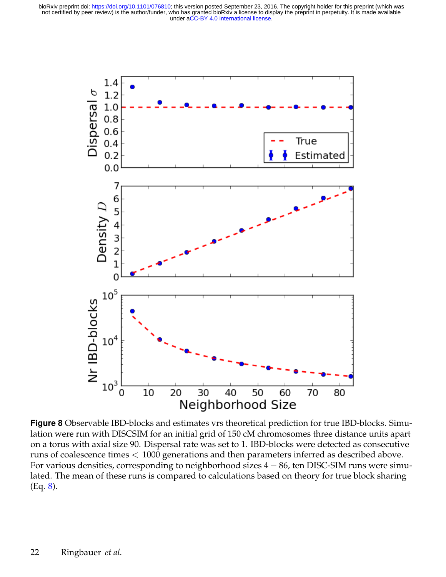<span id="page-21-0"></span>

**Figure 8** Observable IBD-blocks and estimates vrs theoretical prediction for true IBD-blocks. Simulation were run with DISCSIM for an initial grid of 150 cM chromosomes three distance units apart on a torus with axial size 90. Dispersal rate was set to 1. IBD-blocks were detected as consecutive runs of coalescence times < 1000 generations and then parameters inferred as described above. For various densities, corresponding to neighborhood sizes 4 − 86, ten DISC-SIM runs were simulated. The mean of these runs is compared to calculations based on theory for true block sharing (Eq. [8\)](#page-8-0).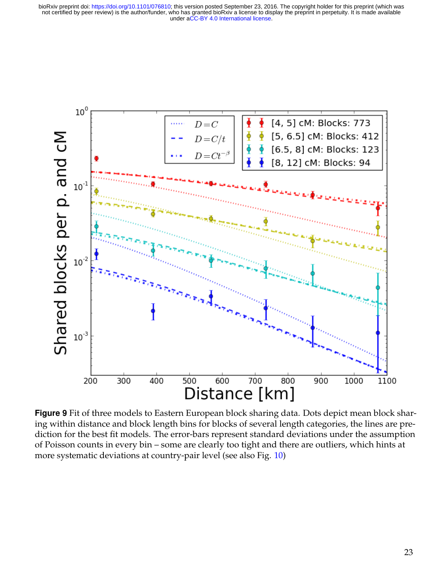<span id="page-22-0"></span>

**Figure 9** Fit of three models to Eastern European block sharing data. Dots depict mean block sharing within distance and block length bins for blocks of several length categories, the lines are prediction for the best fit models. The error-bars represent standard deviations under the assumption of Poisson counts in every bin – some are clearly too tight and there are outliers, which hints at more systematic deviations at country-pair level (see also Fig. [10\)](#page-24-0)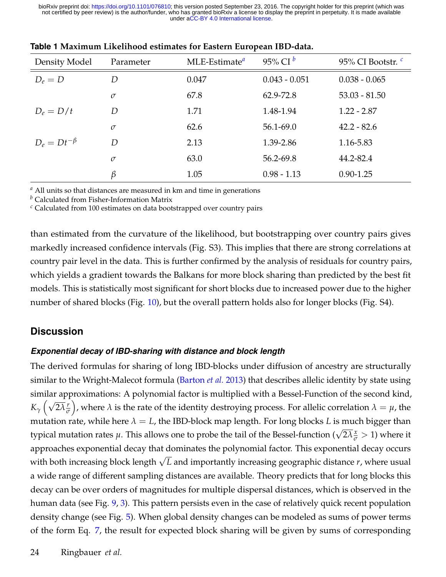|                     |           | л.               |                     |                               |
|---------------------|-----------|------------------|---------------------|-------------------------------|
| Density Model       | Parameter | $MLE-Estimate^a$ | 95% CI <sup>b</sup> | 95% CI Bootstr. $\frac{c}{c}$ |
| $D_e = D$           | D         | 0.047            | $0.043 - 0.051$     | $0.038 - 0.065$               |
|                     | $\sigma$  | 67.8             | 62.9-72.8           | $53.03 - 81.50$               |
| $D_e = D/t$         | D         | 1.71             | 1.48-1.94           | $1.22 - 2.87$                 |
|                     | $\sigma$  | 62.6             | 56.1-69.0           | $42.2 - 82.6$                 |
| $D_e = Dt^{-\beta}$ | D         | 2.13             | 1.39-2.86           | 1.16-5.83                     |
|                     | $\sigma$  | 63.0             | 56.2-69.8           | 44.2-82.4                     |
|                     | β         | 1.05             | $0.98 - 1.13$       | $0.90 - 1.25$                 |

<span id="page-23-0"></span>

| Table 1 Maximum Likelihood estimates for Eastern European IBD-data. |
|---------------------------------------------------------------------|
|---------------------------------------------------------------------|

*<sup>a</sup>* All units so that distances are measured in km and time in generations

*<sup>b</sup>* Calculated from Fisher-Information Matrix

*<sup>c</sup>* Calculated from 100 estimates on data bootstrapped over country pairs

than estimated from the curvature of the likelihood, but bootstrapping over country pairs gives markedly increased confidence intervals (Fig. S3). This implies that there are strong correlations at country pair level in the data. This is further confirmed by the analysis of residuals for country pairs, which yields a gradient towards the Balkans for more block sharing than predicted by the best fit models. This is statistically most significant for short blocks due to increased power due to the higher number of shared blocks (Fig. [10\)](#page-24-0), but the overall pattern holds also for longer blocks (Fig. S4).

## **Discussion**

### *Exponential decay of IBD-sharing with distance and block length*

The derived formulas for sharing of long IBD-blocks under diffusion of ancestry are structurally similar to the Wright-Malecot formula [\(Barton](#page-27-0) *et al.* [2013\)](#page-27-0) that describes allelic identity by state using similar approximations: A polynomial factor is multiplied with a Bessel-Function of the second kind, *K*<sub>γ</sub>  $(\sqrt{2\lambda}\frac{r}{\sigma})$ *σ* ), where  $\lambda$  is the rate of the identity destroying process. For allelic correlation  $\lambda = \mu$ , the mutation rate, while here  $\lambda = L$ , the IBD-block map length. For long blocks *L* is much bigger than typical mutation rates  $\mu$ . This allows one to probe the tail of the Bessel-function ( $\sqrt{2\lambda} \frac{x}{\sigma} > 1$ ) where it approaches exponential decay that dominates the polynomial factor. This exponential decay occurs with both increasing block length <sup>√</sup> *L* and importantly increasing geographic distance *r*, where usual a wide range of different sampling distances are available. Theory predicts that for long blocks this decay can be over orders of magnitudes for multiple dispersal distances, which is observed in the human data (see Fig. [9,](#page-22-0) [3\)](#page-9-0). This pattern persists even in the case of relatively quick recent population density change (see Fig. [5\)](#page-17-0). When global density changes can be modeled as sums of power terms of the form Eq. [7,](#page-8-2) the result for expected block sharing will be given by sums of corresponding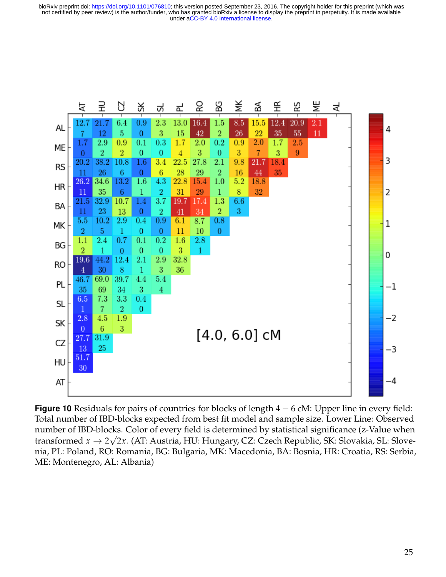<span id="page-24-0"></span>

**Figure 10** Residuals for pairs of countries for blocks of length 4 − 6 cM: Upper line in every field: Total number of IBD-blocks expected from best fit model and sample size. Lower Line: Observed number of IBD-blocks. Color of every field is determined by statistical significance (z-Value when transformed *x* → 2 2*x*. (AT: Austria, HU: Hungary, CZ: Czech Republic, SK: Slovakia, SL: Slovenia, PL: Poland, RO: Romania, BG: Bulgaria, MK: Macedonia, BA: Bosnia, HR: Croatia, RS: Serbia, ME: Montenegro, AL: Albania)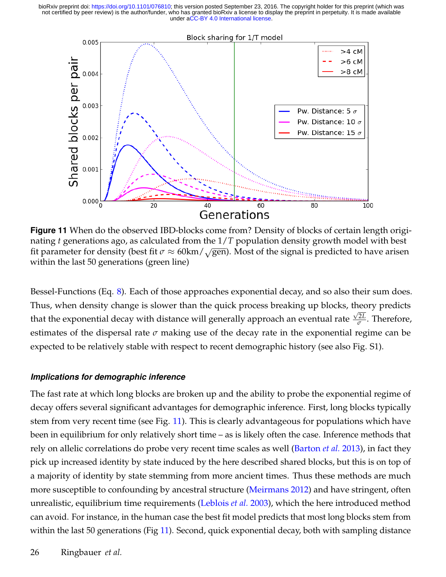<span id="page-25-0"></span>

**Figure 11** When do the observed IBD-blocks come from? Density of blocks of certain length originating *t* generations ago, as calculated from the 1/*T* population density growth model with best fit parameter for density (best fit  $\sigma \approx 60 \text{km} / \sqrt{\text{gen}}$ ). Most of the signal is predicted to have arisen within the last 50 generations (green line)

Bessel-Functions (Eq. [8\)](#page-8-0). Each of those approaches exponential decay, and so also their sum does. Thus, when density change is slower than the quick process breaking up blocks, theory predicts that the exponential decay with distance will generally approach an eventual rate  $\frac{\sqrt{2}L}{\sigma}$  $\frac{2L}{\sigma}$ . Therefore, estimates of the dispersal rate  $\sigma$  making use of the decay rate in the exponential regime can be expected to be relatively stable with respect to recent demographic history (see also Fig. S1).

#### *Implications for demographic inference*

The fast rate at which long blocks are broken up and the ability to probe the exponential regime of decay offers several significant advantages for demographic inference. First, long blocks typically stem from very recent time (see Fig. [11\)](#page-25-0). This is clearly advantageous for populations which have been in equilibrium for only relatively short time – as is likely often the case. Inference methods that rely on allelic correlations do probe very recent time scales as well [\(Barton](#page-27-0) *et al.* [2013\)](#page-27-0), in fact they pick up increased identity by state induced by the here described shared blocks, but this is on top of a majority of identity by state stemming from more ancient times. Thus these methods are much more susceptible to confounding by ancestral structure [\(Meirmans 2012\)](#page-29-8) and have stringent, often unrealistic, equilibrium time requirements [\(Leblois](#page-29-14) *et al.* [2003\)](#page-29-14), which the here introduced method can avoid. For instance, in the human case the best fit model predicts that most long blocks stem from within the last 50 generations (Fig [11\)](#page-25-0). Second, quick exponential decay, both with sampling distance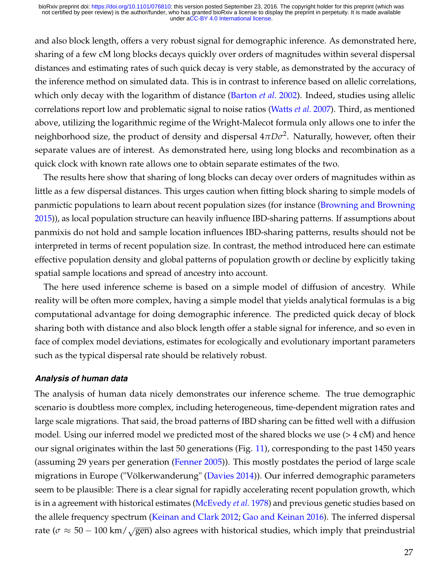and also block length, offers a very robust signal for demographic inference. As demonstrated here, sharing of a few cM long blocks decays quickly over orders of magnitudes within several dispersal distances and estimating rates of such quick decay is very stable, as demonstrated by the accuracy of the inference method on simulated data. This is in contrast to inference based on allelic correlations, which only decay with the logarithm of distance [\(Barton](#page-28-6) *et al.* [2002\)](#page-28-6). Indeed, studies using allelic correlations report low and problematic signal to noise ratios [\(Watts](#page-30-3) *et al.* [2007\)](#page-30-3). Third, as mentioned above, utilizing the logarithmic regime of the Wright-Malecot formula only allows one to infer the neighborhood size, the product of density and dispersal  $4\pi D\sigma^2$ . Naturally, however, often their separate values are of interest. As demonstrated here, using long blocks and recombination as a quick clock with known rate allows one to obtain separate estimates of the two.

The results here show that sharing of long blocks can decay over orders of magnitudes within as little as a few dispersal distances. This urges caution when fitting block sharing to simple models of panmictic populations to learn about recent population sizes (for instance [\(Browning and Browning](#page-28-4) [2015\)](#page-28-4)), as local population structure can heavily influence IBD-sharing patterns. If assumptions about panmixis do not hold and sample location influences IBD-sharing patterns, results should not be interpreted in terms of recent population size. In contrast, the method introduced here can estimate effective population density and global patterns of population growth or decline by explicitly taking spatial sample locations and spread of ancestry into account.

The here used inference scheme is based on a simple model of diffusion of ancestry. While reality will be often more complex, having a simple model that yields analytical formulas is a big computational advantage for doing demographic inference. The predicted quick decay of block sharing both with distance and also block length offer a stable signal for inference, and so even in face of complex model deviations, estimates for ecologically and evolutionary important parameters such as the typical dispersal rate should be relatively robust.

#### *Analysis of human data*

The analysis of human data nicely demonstrates our inference scheme. The true demographic scenario is doubtless more complex, including heterogeneous, time-dependent migration rates and large scale migrations. That said, the broad patterns of IBD sharing can be fitted well with a diffusion model. Using our inferred model we predicted most of the shared blocks we use  $(> 4 \text{ cM})$  and hence our signal originates within the last 50 generations (Fig. [11\)](#page-25-0), corresponding to the past 1450 years (assuming 29 years per generation [\(Fenner 2005\)](#page-28-13)). This mostly postdates the period of large scale migrations in Europe ("Völkerwanderung" [\(Davies 2014\)](#page-28-14)). Our inferred demographic parameters seem to be plausible: There is a clear signal for rapidly accelerating recent population growth, which is in a agreement with historical estimates [\(McEvedy](#page-29-15) *et al.* [1978\)](#page-29-15) and previous genetic studies based on the allele frequency spectrum [\(Keinan and Clark 2012;](#page-28-15) [Gao and Keinan 2016\)](#page-28-16). The inferred dispersal rate ( $\sigma \approx 50 - 100 \text{ km} / \sqrt{\text{gen}}$ ) also agrees with historical studies, which imply that preindustrial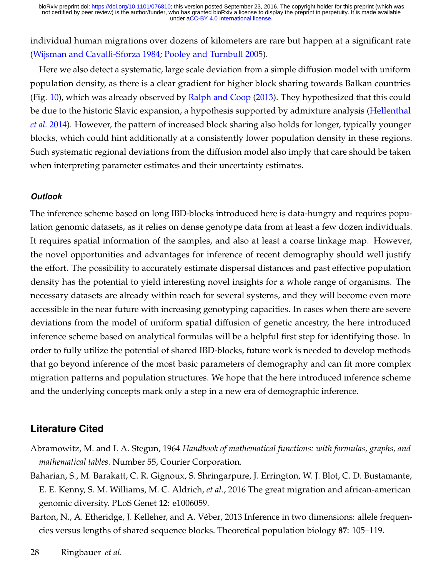individual human migrations over dozens of kilometers are rare but happen at a significant rate [\(Wijsman and Cavalli-Sforza 1984;](#page-30-4) [Pooley and Turnbull 2005\)](#page-29-16).

Here we also detect a systematic, large scale deviation from a simple diffusion model with uniform population density, as there is a clear gradient for higher block sharing towards Balkan countries (Fig. [10\)](#page-24-0), which was already observed by [Ralph and Coop](#page-29-1) [\(2013\)](#page-29-1). They hypothesized that this could be due to the historic Slavic expansion, a hypothesis supported by admixture analysis [\(Hellenthal](#page-28-17) *[et al.](#page-28-17)* [2014\)](#page-28-17). However, the pattern of increased block sharing also holds for longer, typically younger blocks, which could hint additionally at a consistently lower population density in these regions. Such systematic regional deviations from the diffusion model also imply that care should be taken when interpreting parameter estimates and their uncertainty estimates.

#### *Outlook*

The inference scheme based on long IBD-blocks introduced here is data-hungry and requires population genomic datasets, as it relies on dense genotype data from at least a few dozen individuals. It requires spatial information of the samples, and also at least a coarse linkage map. However, the novel opportunities and advantages for inference of recent demography should well justify the effort. The possibility to accurately estimate dispersal distances and past effective population density has the potential to yield interesting novel insights for a whole range of organisms. The necessary datasets are already within reach for several systems, and they will become even more accessible in the near future with increasing genotyping capacities. In cases when there are severe deviations from the model of uniform spatial diffusion of genetic ancestry, the here introduced inference scheme based on analytical formulas will be a helpful first step for identifying those. In order to fully utilize the potential of shared IBD-blocks, future work is needed to develop methods that go beyond inference of the most basic parameters of demography and can fit more complex migration patterns and population structures. We hope that the here introduced inference scheme and the underlying concepts mark only a step in a new era of demographic inference.

### **Literature Cited**

- <span id="page-27-2"></span>Abramowitz, M. and I. A. Stegun, 1964 *Handbook of mathematical functions: with formulas, graphs, and mathematical tables*. Number 55, Courier Corporation.
- <span id="page-27-1"></span>Baharian, S., M. Barakatt, C. R. Gignoux, S. Shringarpure, J. Errington, W. J. Blot, C. D. Bustamante, E. E. Kenny, S. M. Williams, M. C. Aldrich, *et al.*, 2016 The great migration and african-american genomic diversity. PLoS Genet **12**: e1006059.
- <span id="page-27-0"></span>Barton, N., A. Etheridge, J. Kelleher, and A. Véber, 2013 Inference in two dimensions: allele frequencies versus lengths of shared sequence blocks. Theoretical population biology **87**: 105–119.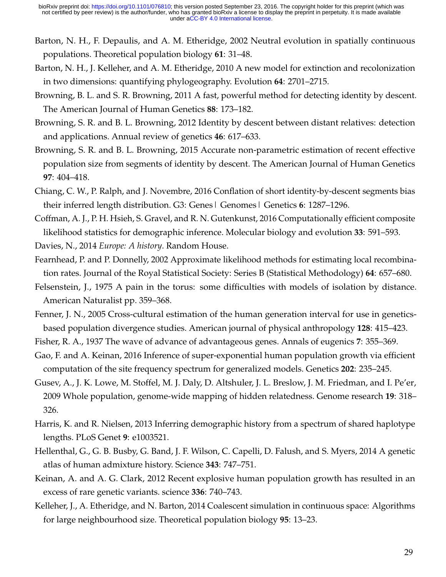- <span id="page-28-6"></span>Barton, N. H., F. Depaulis, and A. M. Etheridge, 2002 Neutral evolution in spatially continuous populations. Theoretical population biology **61**: 31–48.
- <span id="page-28-12"></span>Barton, N. H., J. Kelleher, and A. M. Etheridge, 2010 A new model for extinction and recolonization in two dimensions: quantifying phylogeography. Evolution **64**: 2701–2715.
- <span id="page-28-1"></span>Browning, B. L. and S. R. Browning, 2011 A fast, powerful method for detecting identity by descent. The American Journal of Human Genetics **88**: 173–182.
- <span id="page-28-7"></span>Browning, S. R. and B. L. Browning, 2012 Identity by descent between distant relatives: detection and applications. Annual review of genetics **46**: 617–633.
- <span id="page-28-4"></span>Browning, S. R. and B. L. Browning, 2015 Accurate non-parametric estimation of recent effective population size from segments of identity by descent. The American Journal of Human Genetics **97**: 404–418.
- <span id="page-28-2"></span>Chiang, C. W., P. Ralph, and J. Novembre, 2016 Conflation of short identity-by-descent segments bias their inferred length distribution. G3: Genes| Genomes| Genetics **6**: 1287–1296.
- <span id="page-28-10"></span>Coffman, A. J., P. H. Hsieh, S. Gravel, and R. N. Gutenkunst, 2016 Computationally efficient composite likelihood statistics for demographic inference. Molecular biology and evolution **33**: 591–593.
- <span id="page-28-14"></span><span id="page-28-9"></span>Davies, N., 2014 *Europe: A history*. Random House.
- Fearnhead, P. and P. Donnelly, 2002 Approximate likelihood methods for estimating local recombination rates. Journal of the Royal Statistical Society: Series B (Statistical Methodology) **64**: 657–680.
- <span id="page-28-5"></span>Felsenstein, J., 1975 A pain in the torus: some difficulties with models of isolation by distance. American Naturalist pp. 359–368.
- <span id="page-28-13"></span>Fenner, J. N., 2005 Cross-cultural estimation of the human generation interval for use in geneticsbased population divergence studies. American journal of physical anthropology **128**: 415–423.
- <span id="page-28-8"></span>Fisher, R. A., 1937 The wave of advance of advantageous genes. Annals of eugenics **7**: 355–369.
- <span id="page-28-16"></span>Gao, F. and A. Keinan, 2016 Inference of super-exponential human population growth via efficient computation of the site frequency spectrum for generalized models. Genetics **202**: 235–245.
- <span id="page-28-0"></span>Gusev, A., J. K. Lowe, M. Stoffel, M. J. Daly, D. Altshuler, J. L. Breslow, J. M. Friedman, and I. Pe'er, 2009 Whole population, genome-wide mapping of hidden relatedness. Genome research **19**: 318– 326.
- <span id="page-28-3"></span>Harris, K. and R. Nielsen, 2013 Inferring demographic history from a spectrum of shared haplotype lengths. PLoS Genet **9**: e1003521.
- <span id="page-28-17"></span>Hellenthal, G., G. B. Busby, G. Band, J. F. Wilson, C. Capelli, D. Falush, and S. Myers, 2014 A genetic atlas of human admixture history. Science **343**: 747–751.
- <span id="page-28-15"></span>Keinan, A. and A. G. Clark, 2012 Recent explosive human population growth has resulted in an excess of rare genetic variants. science **336**: 740–743.
- <span id="page-28-11"></span>Kelleher, J., A. Etheridge, and N. Barton, 2014 Coalescent simulation in continuous space: Algorithms for large neighbourhood size. Theoretical population biology **95**: 13–23.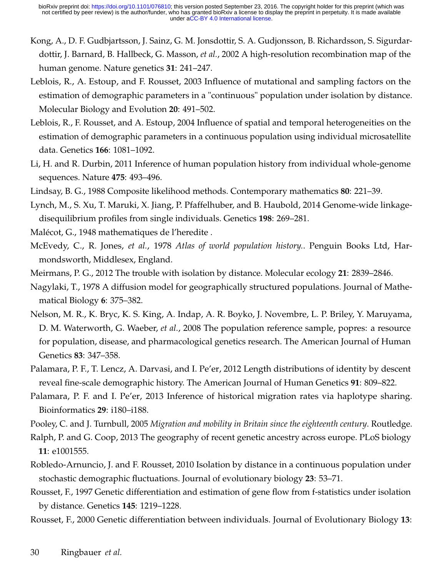- <span id="page-29-17"></span>Kong, A., D. F. Gudbjartsson, J. Sainz, G. M. Jonsdottir, S. A. Gudjonsson, B. Richardsson, S. Sigurdardottir, J. Barnard, B. Hallbeck, G. Masson, *et al.*, 2002 A high-resolution recombination map of the human genome. Nature genetics **31**: 241–247.
- <span id="page-29-14"></span>Leblois, R., A. Estoup, and F. Rousset, 2003 Influence of mutational and sampling factors on the estimation of demographic parameters in a "continuous" population under isolation by distance. Molecular Biology and Evolution **20**: 491–502.
- <span id="page-29-7"></span>Leblois, R., F. Rousset, and A. Estoup, 2004 Influence of spatial and temporal heterogeneities on the estimation of demographic parameters in a continuous population using individual microsatellite data. Genetics **166**: 1081–1092.
- <span id="page-29-0"></span>Li, H. and R. Durbin, 2011 Inference of human population history from individual whole-genome sequences. Nature **475**: 493–496.
- <span id="page-29-12"></span><span id="page-29-10"></span>Lindsay, B. G., 1988 Composite likelihood methods. Contemporary mathematics **80**: 221–39.
- Lynch, M., S. Xu, T. Maruki, X. Jiang, P. Pfaffelhuber, and B. Haubold, 2014 Genome-wide linkagedisequilibrium profiles from single individuals. Genetics **198**: 269–281.
- <span id="page-29-15"></span><span id="page-29-4"></span>Malécot, G., 1948 mathematiques de l'heredite .
- McEvedy, C., R. Jones, *et al.*, 1978 *Atlas of world population history.*. Penguin Books Ltd, Harmondsworth, Middlesex, England.
- <span id="page-29-9"></span><span id="page-29-8"></span>Meirmans, P. G., 2012 The trouble with isolation by distance. Molecular ecology **21**: 2839–2846.
- Nagylaki, T., 1978 A diffusion model for geographically structured populations. Journal of Mathematical Biology **6**: 375–382.
- <span id="page-29-13"></span>Nelson, M. R., K. Bryc, K. S. King, A. Indap, A. R. Boyko, J. Novembre, L. P. Briley, Y. Maruyama, D. M. Waterworth, G. Waeber, *et al.*, 2008 The population reference sample, popres: a resource for population, disease, and pharmacological genetics research. The American Journal of Human Genetics **83**: 347–358.
- <span id="page-29-2"></span>Palamara, P. F., T. Lencz, A. Darvasi, and I. Pe'er, 2012 Length distributions of identity by descent reveal fine-scale demographic history. The American Journal of Human Genetics **91**: 809–822.
- <span id="page-29-3"></span>Palamara, P. F. and I. Pe'er, 2013 Inference of historical migration rates via haplotype sharing. Bioinformatics **29**: i180–i188.
- <span id="page-29-16"></span>Pooley, C. and J. Turnbull, 2005 *Migration and mobility in Britain since the eighteenth century*. Routledge.
- <span id="page-29-1"></span>Ralph, P. and G. Coop, 2013 The geography of recent genetic ancestry across europe. PLoS biology **11**: e1001555.
- <span id="page-29-11"></span>Robledo-Arnuncio, J. and F. Rousset, 2010 Isolation by distance in a continuous population under stochastic demographic fluctuations. Journal of evolutionary biology **23**: 53–71.
- <span id="page-29-5"></span>Rousset, F., 1997 Genetic differentiation and estimation of gene flow from f-statistics under isolation by distance. Genetics **145**: 1219–1228.
- <span id="page-29-6"></span>Rousset, F., 2000 Genetic differentiation between individuals. Journal of Evolutionary Biology **13**: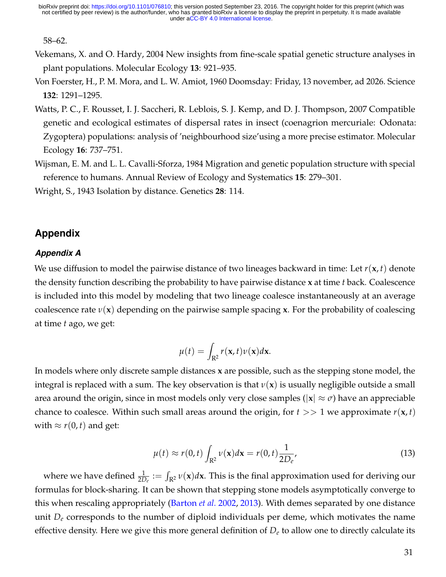58–62.

- <span id="page-30-1"></span>Vekemans, X. and O. Hardy, 2004 New insights from fine-scale spatial genetic structure analyses in plant populations. Molecular Ecology **13**: 921–935.
- <span id="page-30-2"></span>Von Foerster, H., P. M. Mora, and L. W. Amiot, 1960 Doomsday: Friday, 13 november, ad 2026. Science **132**: 1291–1295.
- <span id="page-30-3"></span>Watts, P. C., F. Rousset, I. J. Saccheri, R. Leblois, S. J. Kemp, and D. J. Thompson, 2007 Compatible genetic and ecological estimates of dispersal rates in insect (coenagrion mercuriale: Odonata: Zygoptera) populations: analysis of 'neighbourhood size'using a more precise estimator. Molecular Ecology **16**: 737–751.
- <span id="page-30-4"></span>Wijsman, E. M. and L. L. Cavalli-Sforza, 1984 Migration and genetic population structure with special reference to humans. Annual Review of Ecology and Systematics **15**: 279–301.

<span id="page-30-0"></span>Wright, S., 1943 Isolation by distance. Genetics **28**: 114.

## **Appendix**

#### *Appendix A*

We use diffusion to model the pairwise distance of two lineages backward in time: Let *r*(**x**, *t*) denote the density function describing the probability to have pairwise distance **x** at time *t* back. Coalescence is included into this model by modeling that two lineage coalesce instantaneously at an average coalescence rate *ν*(**x**) depending on the pairwise sample spacing **x**. For the probability of coalescing at time *t* ago, we get:

$$
\mu(t) = \int_{\mathbf{R}^2} r(\mathbf{x}, t) \nu(\mathbf{x}) d\mathbf{x}.
$$

In models where only discrete sample distances **x** are possible, such as the stepping stone model, the integral is replaced with a sum. The key observation is that  $v(x)$  is usually negligible outside a small area around the origin, since in most models only very close samples ( $|x| \approx \sigma$ ) have an appreciable chance to coalesce. Within such small areas around the origin, for  $t \gg 1$  we approximate  $r(\mathbf{x}, t)$ with  $\approx r(0, t)$  and get:

$$
\mu(t) \approx r(0, t) \int_{\mathbb{R}^2} \nu(\mathbf{x}) d\mathbf{x} = r(0, t) \frac{1}{2D_e},
$$
\n(13)

where we have defined  $\frac{1}{2D_e} := \int_{\mathbf{R}^2} \nu(\mathbf{x}) d\mathbf{x}$ . This is the final approximation used for deriving our formulas for block-sharing. It can be shown that stepping stone models asymptotically converge to this when rescaling appropriately [\(Barton](#page-28-6) *et al.* [2002,](#page-28-6) [2013\)](#page-27-0). With demes separated by one distance unit  $D_e$  corresponds to the number of diploid individuals per deme, which motivates the name effective density. Here we give this more general definition of *D<sup>e</sup>* to allow one to directly calculate its